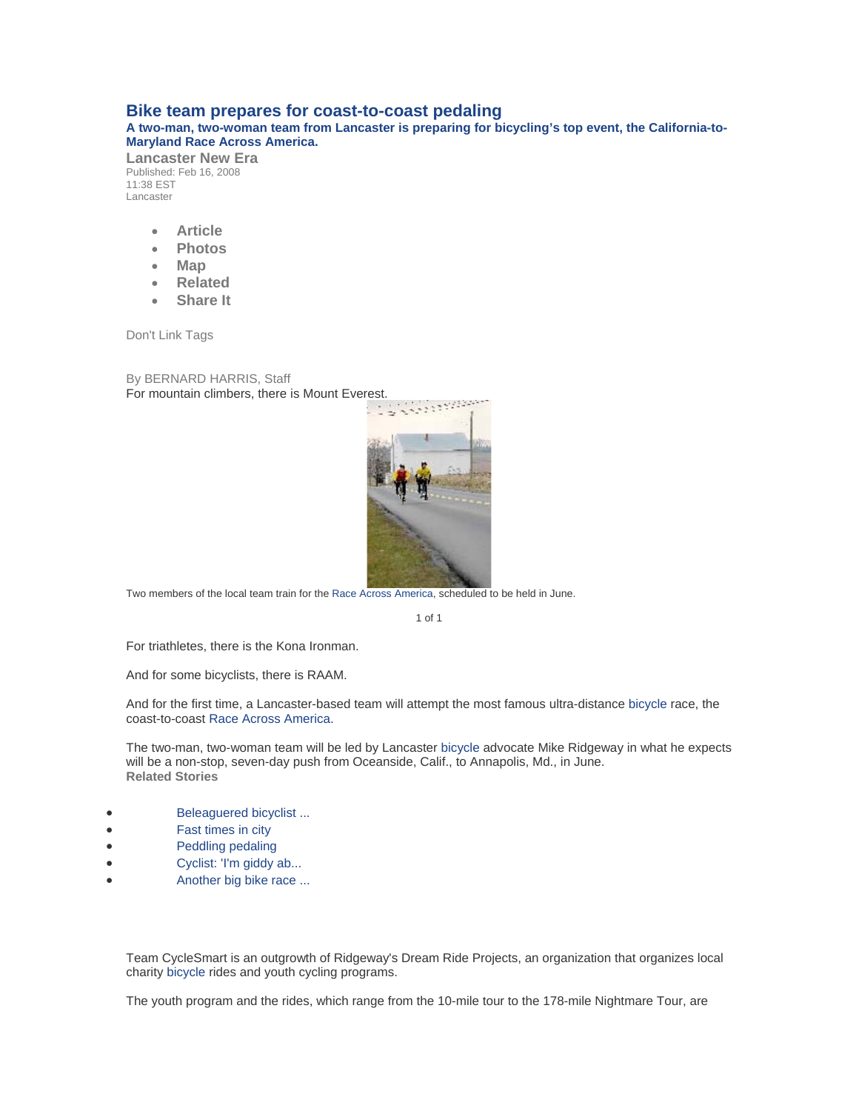## **Bike team prepares for coast-to-coast pedaling**

**A two-man, two-woman team from Lancaster is preparing for bicycling's top event, the California-to-Maryland Race Across America.** 

**Lancaster New Era**  Published: Feb 16, 2008 11:38 EST Lancaster

- **[Article](http://articles.lancasteronline.com/local/4/216813)**
- **[Photos](http://articles.lancasteronline.com/local/5/216813)**
- **[Map](http://articles.lancasteronline.com/local/17/216813)**
- **[Related](http://articles.lancasteronline.com/local/10/216813)**
- **[Share It](http://articles.lancasteronline.com/local/9/216813)**

Don't Link Tags

By BERNARD HARRIS, Staff For mountain climbers, there is Mount Everest.



Two members of the local team train for the [Race Across America](http://articles.lancasteronline.com/local/15/1/Race%20Across%20America/)[, scheduled to](http://articles.lancasteronline.com/local/5/216813/bike) be held in June.

1 of 1

For triathletes, there is the Kona Ironman.

And for some bicyclists, there is RAAM.

And for the first time, a Lancaster-based team will attempt the most famous ultra-distance [bicycle](http://articles.lancasteronline.com/local/15/1/bicycle/) race, the coast-to-coast [Race Across America.](http://articles.lancasteronline.com/local/15/1/Race%20Across%20America/)

The two-man, two-woman team will be led by Lancaster [bicycle](http://articles.lancasteronline.com/local/15/1/bicycle/) advocate Mike Ridgeway in what he expects will be a non-stop, seven-day push from Oceanside, Calif., to Annapolis, Md., in June. **Related Stories** 

- [Beleaguered bicyclist ...](http://articles.lancasteronline.com/local/4/206000)
- [Fast times in city](http://articles.lancasteronline.com/local/4/205042)
- **[Peddling pedaling](http://articles.lancasteronline.com/local/4/205008)**
- Cyclist: 'I'm giddy ab...
- [Another big bike race ...](http://articles.lancasteronline.com/local/4/204276)

Team CycleSmart is an outgrowth of Ridgeway's Dream Ride Projects, an organization that organizes local charity [bicycle](http://articles.lancasteronline.com/local/15/1/bicycle/) rides and youth cycling programs.

The youth program and the rides, which range from the 10-mile tour to the 178-mile Nightmare Tour, are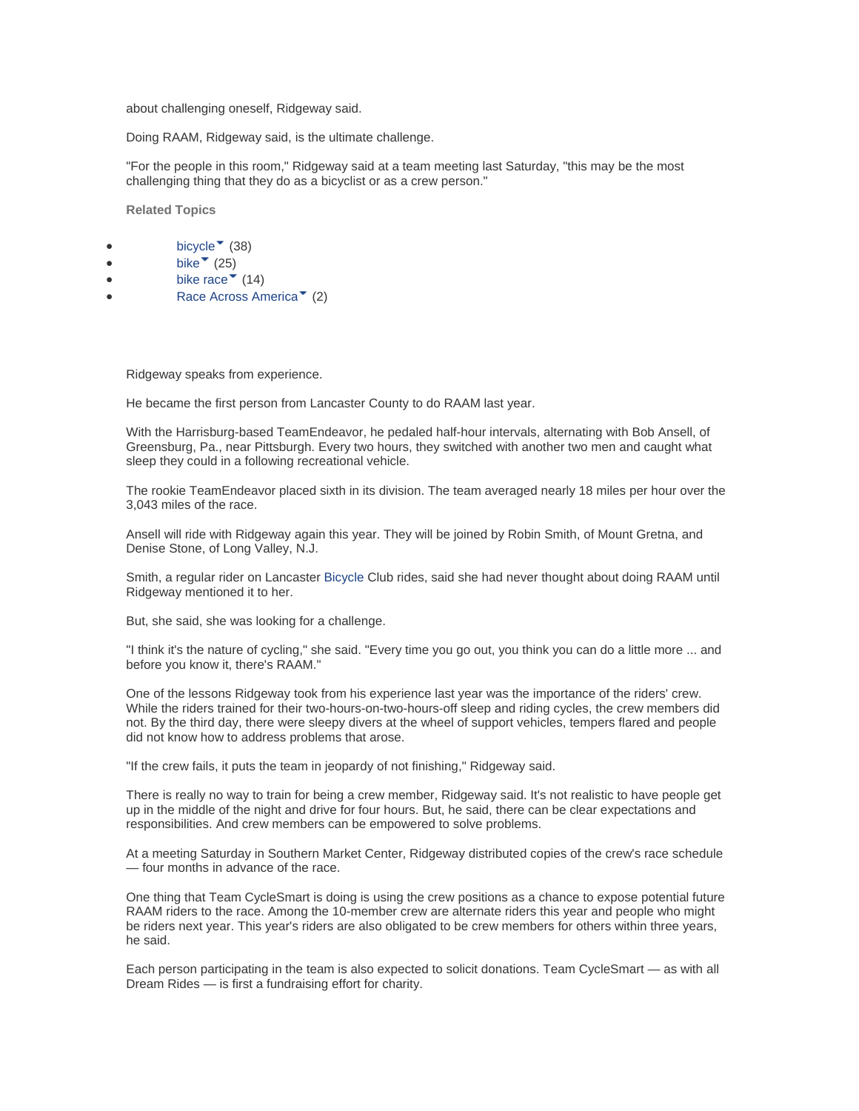about challenging oneself, Ridgeway said.

Doing RAAM, Ridgeway said, is the ultimate challenge.

"For the people in this room," Ridgeway said at a team meeting last Saturday, "this may be the most challenging thing that they do as a bicyclist or as a crew person."

**Related Topics** 

- [bicycle](http://articles.lancasteronline.com/local/15/bicycle/)  $\sqrt{\phantom{a}}$  [\(](http://articles.lancasteronline.com/local/15/murder/)38)
- [bike](http://articles.lancasteronline.com/local/15/bike/) $\degree$  (25)
- $\bullet$  [bike](http://articles.lancasteronline.com/local/15/bike%20race/) [ra](http://articles.lancasteronline.com/local/15/murder/)[ce](http://articles.lancasteronline.com/local/15/bike%20race/)  $\bullet$  (14)
- [Race Acr](http://articles.lancasteronline.com/local/15/Race%20Across%20America/)[os](http://articles.lancasteronline.com/local/15/murder/)[s America](http://articles.lancasteronline.com/local/15/Race%20Across%20America/)<sup> $*$ </sup> [\(](http://articles.lancasteronline.com/local/15/murder/)2)

Ridgeway speaks from experience.

He became the first person from Lancaster County to do RAAM last year.

With the Harrisburg-based TeamEndeavor, he pedaled half-hour intervals, alternating with Bob Ansell, of Greensburg, Pa., near Pittsburgh. Every two hours, they switched with another two men and caught what sleep they could in a following recreational vehicle.

The rookie TeamEndeavor placed sixth in its division. The team averaged nearly 18 miles per hour over the 3,043 miles of the race.

Ansell will ride with Ridgeway again this year. They will be joined by Robin Smith, of Mount Gretna, and Denise Stone, of Long Valley, N.J.

Smith, a regular rider on Lancaster [Bicycle](http://articles.lancasteronline.com/local/15/1/bicycle/) Club rides, said she had never thought about doing RAAM until Ridgeway mentioned it to her.

But, she said, she was looking for a challenge.

"I think it's the nature of cycling," she said. "Every time you go out, you think you can do a little more ... and before you know it, there's RAAM."

One of the lessons Ridgeway took from his experience last year was the importance of the riders' crew. While the riders trained for their two-hours-on-two-hours-off sleep and riding cycles, the crew members did not. By the third day, there were sleepy divers at the wheel of support vehicles, tempers flared and people did not know how to address problems that arose.

"If the crew fails, it puts the team in jeopardy of not finishing," Ridgeway said.

There is really no way to train for being a crew member, Ridgeway said. It's not realistic to have people get up in the middle of the night and drive for four hours. But, he said, there can be clear expectations and responsibilities. And crew members can be empowered to solve problems.

At a meeting Saturday in Southern Market Center, Ridgeway distributed copies of the crew's race schedule — four months in advance of the race.

One thing that Team CycleSmart is doing is using the crew positions as a chance to expose potential future RAAM riders to the race. Among the 10-member crew are alternate riders this year and people who might be riders next year. This year's riders are also obligated to be crew members for others within three years, he said.

Each person participating in the team is also expected to solicit donations. Team CycleSmart — as with all Dream Rides — is first a fundraising effort for charity.